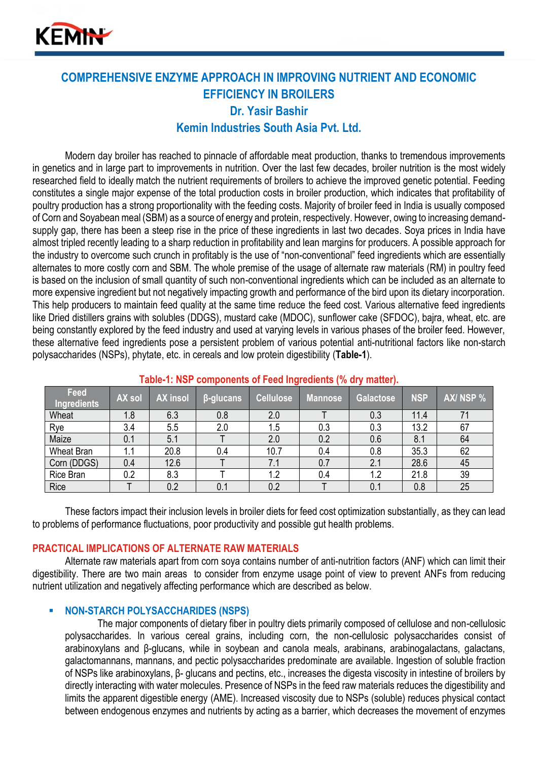

# **COMPREHENSIVE ENZYME APPROACH IN IMPROVING NUTRIENT AND ECONOMIC EFFICIENCY IN BROILERS Dr. Yasir Bashir Kemin Industries South Asia Pvt. Ltd.**

Modern day broiler has reached to pinnacle of affordable meat production, thanks to tremendous improvements in genetics and in large part to improvements in nutrition. Over the last few decades, broiler nutrition is the most widely researched field to ideally match the nutrient requirements of broilers to achieve the improved genetic potential. Feeding constitutes a single major expense of the total production costs in broiler production, which indicates that profitability of poultry production has a strong proportionality with the feeding costs. Majority of broiler feed in India is usually composed of Corn and Soyabean meal (SBM) as a source of energy and protein, respectively. However, owing to increasing demandsupply gap, there has been a steep rise in the price of these ingredients in last two decades. Soya prices in India have almost tripled recently leading to a sharp reduction in profitability and lean margins for producers. A possible approach for the industry to overcome such crunch in profitably is the use of "non-conventional" feed ingredients which are essentially alternates to more costly corn and SBM. The whole premise of the usage of alternate raw materials (RM) in poultry feed is based on the inclusion of small quantity of such non-conventional ingredients which can be included as an alternate to more expensive ingredient but not negatively impacting growth and performance of the bird upon its dietary incorporation. This help producers to maintain feed quality at the same time reduce the feed cost. Various alternative feed ingredients like Dried distillers grains with solubles (DDGS), mustard cake (MDOC), sunflower cake (SFDOC), bajra, wheat, etc. are being constantly explored by the feed industry and used at varying levels in various phases of the broiler feed. However, these alternative feed ingredients pose a persistent problem of various potential anti-nutritional factors like non-starch polysaccharides (NSPs), phytate, etc. in cereals and low protein digestibility (**Table-1**).

| Feed<br><b>Ingredients</b> | AX sol | <b>AX insol</b> | β-glucans | <b>Cellulose</b> | Mannose | <b>Galactose</b> | <b>NSP</b> | AX/NSP % |
|----------------------------|--------|-----------------|-----------|------------------|---------|------------------|------------|----------|
| Wheat                      | 1.8    | 6.3             | 0.8       | 2.0              |         | 0.3              | 11.4       | 71       |
| Rye                        | 3.4    | 5.5             | 2.0       | 1.5              | 0.3     | 0.3              | 13.2       | 67       |
| Maize                      | 0.1    | 5.1             |           | 2.0              | 0.2     | 0.6              | 8.1        | 64       |
| <b>Wheat Bran</b>          | 1.1    | 20.8            | 0.4       | 10.7             | 0.4     | 0.8              | 35.3       | 62       |
| Corn (DDGS)                | 0.4    | 12.6            |           | 7.1              | 0.7     | 2.1              | 28.6       | 45       |
| Rice Bran                  | 0.2    | 8.3             |           | 1.2              | 0.4     | 1.2              | 21.8       | 39       |
| Rice                       |        | 0.2             | 0.1       | 0.2              |         | 0.1              | 0.8        | 25       |

# **Table-1: NSP components of Feed Ingredients (% dry matter).**

These factors impact their inclusion levels in broiler diets for feed cost optimization substantially, as they can lead to problems of performance fluctuations, poor productivity and possible gut health problems.

## **PRACTICAL IMPLICATIONS OF ALTERNATE RAW MATERIALS**

Alternate raw materials apart from corn soya contains number of anti-nutrition factors (ANF) which can limit their digestibility. There are two main areas to consider from enzyme usage point of view to prevent ANFs from reducing nutrient utilization and negatively affecting performance which are described as below.

## **NON-STARCH POLYSACCHARIDES (NSPS)**

The major components of dietary fiber in poultry diets primarily composed of cellulose and non-cellulosic polysaccharides. In various cereal grains, including corn, the non-cellulosic polysaccharides consist of arabinoxylans and β-glucans, while in soybean and canola meals, arabinans, arabinogalactans, galactans, galactomannans, mannans, and pectic polysaccharides predominate are available. Ingestion of soluble fraction of NSPs like arabinoxylans, β- glucans and pectins, etc., increases the digesta viscosity in intestine of broilers by directly interacting with water molecules. Presence of NSPs in the feed raw materials reduces the digestibility and limits the apparent digestible energy (AME). Increased viscosity due to NSPs (soluble) reduces physical contact between endogenous enzymes and nutrients by acting as a barrier, which decreases the movement of enzymes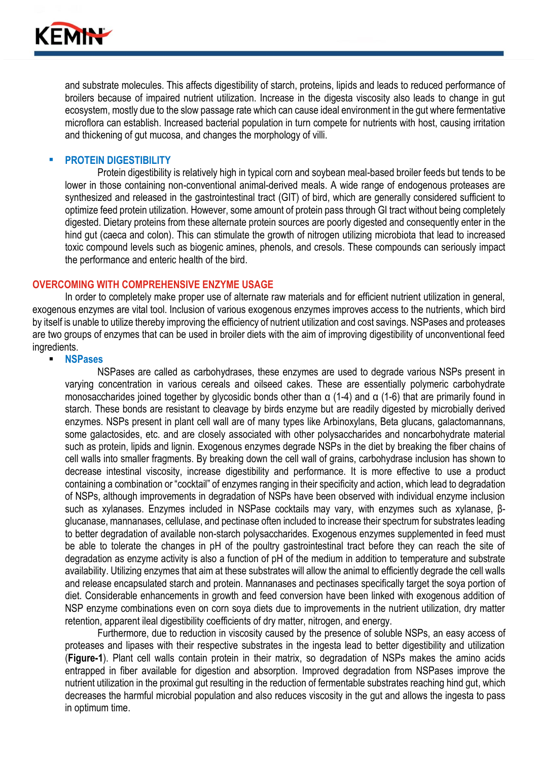

and substrate molecules. This affects digestibility of starch, proteins, lipids and leads to reduced performance of broilers because of impaired nutrient utilization. Increase in the digesta viscosity also leads to change in gut ecosystem, mostly due to the slow passage rate which can cause ideal environment in the gut where fermentative microflora can establish. Increased bacterial population in turn compete for nutrients with host, causing irritation and thickening of gut mucosa, and changes the morphology of villi.

## **PROTEIN DIGESTIBILITY**

Protein digestibility is relatively high in typical corn and soybean meal-based broiler feeds but tends to be lower in those containing non-conventional animal-derived meals. A wide range of endogenous proteases are synthesized and released in the gastrointestinal tract (GIT) of bird, which are generally considered sufficient to optimize feed protein utilization*.* However, some amount of protein pass through GI tract without being completely digested. Dietary proteins from these alternate protein sources are poorly digested and consequently enter in the hind gut (caeca and colon). This can stimulate the growth of nitrogen utilizing microbiota that lead to increased toxic compound levels such as biogenic amines, phenols, and cresols. These compounds can seriously impact the performance and enteric health of the bird.

#### **OVERCOMING WITH COMPREHENSIVE ENZYME USAGE**

In order to completely make proper use of alternate raw materials and for efficient nutrient utilization in general, exogenous enzymes are vital tool. Inclusion of various exogenous enzymes improves access to the nutrients, which bird by itself is unable to utilize thereby improving the efficiency of nutrient utilization and cost savings. NSPases and proteases are two groups of enzymes that can be used in broiler diets with the aim of improving digestibility of unconventional feed ingredients.

#### ▪ **NSPases**

NSPases are called as carbohydrases, these enzymes are used to degrade various NSPs present in varying concentration in various cereals and oilseed cakes. These are essentially polymeric carbohydrate monosaccharides joined together by glycosidic bonds other than α (1-4) and α (1-6) that are primarily found in starch. These bonds are resistant to cleavage by birds enzyme but are readily digested by microbially derived enzymes. NSPs present in plant cell wall are of many types like Arbinoxylans, Beta glucans, galactomannans, some galactosides, etc. and are closely associated with other polysaccharides and noncarbohydrate material such as protein, lipids and lignin. Exogenous enzymes degrade NSPs in the diet by breaking the fiber chains of cell walls into smaller fragments. By breaking down the cell wall of grains, carbohydrase inclusion has shown to decrease intestinal viscosity, increase digestibility and performance. It is more effective to use a product containing a combination or "cocktail" of enzymes ranging in their specificity and action, which lead to degradation of NSPs, although improvements in degradation of NSPs have been observed with individual enzyme inclusion such as xylanases. Enzymes included in NSPase cocktails may vary, with enzymes such as xylanase, βglucanase, mannanases, cellulase, and pectinase often included to increase their spectrum for substrates leading to better degradation of available non-starch polysaccharides. Exogenous enzymes supplemented in feed must be able to tolerate the changes in pH of the poultry gastrointestinal tract before they can reach the site of degradation as enzyme activity is also a function of pH of the medium in addition to temperature and substrate availability. Utilizing enzymes that aim at these substrates will allow the animal to efficiently degrade the cell walls and release encapsulated starch and protein. Mannanases and pectinases specifically target the soya portion of diet. Considerable enhancements in growth and feed conversion have been linked with exogenous addition of NSP enzyme combinations even on corn soya diets due to improvements in the nutrient utilization, dry matter retention, apparent ileal digestibility coefficients of dry matter, nitrogen, and energy.

Furthermore, due to reduction in viscosity caused by the presence of soluble NSPs, an easy access of proteases and lipases with their respective substrates in the ingesta lead to better digestibility and utilization (**Figure-1**). Plant cell walls contain protein in their matrix, so degradation of NSPs makes the amino acids entrapped in fiber available for digestion and absorption. Improved degradation from NSPases improve the nutrient utilization in the proximal gut resulting in the reduction of fermentable substrates reaching hind gut, which decreases the harmful microbial population and also reduces viscosity in the gut and allows the ingesta to pass in optimum time.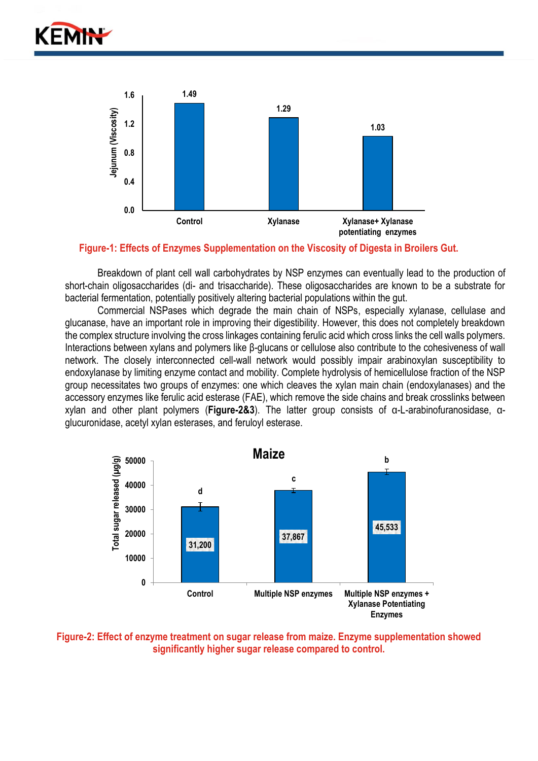



## **Figure-1: Effects of Enzymes Supplementation on the Viscosity of Digesta in Broilers Gut.**

Breakdown of plant cell wall carbohydrates by NSP enzymes can eventually lead to the production of short-chain oligosaccharides (di- and trisaccharide). These oligosaccharides are known to be a substrate for bacterial fermentation, potentially positively altering bacterial populations within the gut.

Commercial NSPases which degrade the main chain of NSPs, especially xylanase, cellulase and glucanase, have an important role in improving their digestibility. However, this does not completely breakdown the complex structure involving the cross linkages containing ferulic acid which cross links the cell walls polymers. Interactions between xylans and polymers like β-glucans or cellulose also contribute to the cohesiveness of wall network. The closely interconnected cell-wall network would possibly impair arabinoxylan susceptibility to endoxylanase by limiting enzyme contact and mobility. Complete hydrolysis of hemicellulose fraction of the NSP group necessitates two groups of enzymes: one which cleaves the xylan main chain (endoxylanases) and the accessory enzymes like ferulic acid esterase (FAE), which remove the side chains and break crosslinks between xylan and other plant polymers (**Figure-2&3**). The latter group consists of α-L-arabinofuranosidase, αglucuronidase, acetyl xylan esterases, and feruloyl esterase.



**Figure-2: Effect of enzyme treatment on sugar release from maize. Enzyme supplementation showed significantly higher sugar release compared to control.**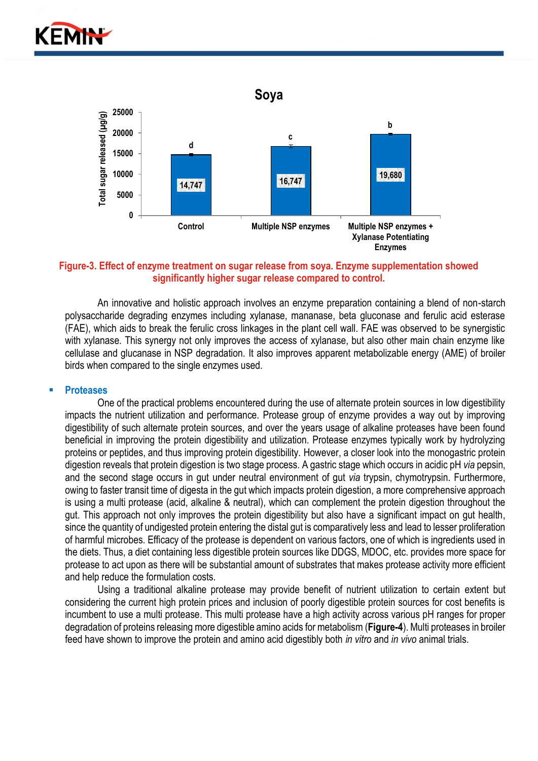



## **Figure-3. Effect of enzyme treatment on sugar release from soya. Enzyme supplementation showed significantly higher sugar release compared to control.**

An innovative and holistic approach involves an enzyme preparation containing a blend of non-starch polysaccharide degrading enzymes including xylanase, mananase, beta gluconase and ferulic acid esterase (FAE), which aids to break the ferulic cross linkages in the plant cell wall. FAE was observed to be synergistic with xylanase. This synergy not only improves the access of xylanase, but also other main chain enzyme like cellulase and glucanase in NSP degradation. It also improves apparent metabolizable energy (AME) of broiler birds when compared to the single enzymes used.

#### ▪ **Proteases**

One of the practical problems encountered during the use of alternate protein sources in low digestibility impacts the nutrient utilization and performance. Protease group of enzyme provides a way out by improving digestibility of such alternate protein sources, and over the years usage of alkaline proteases have been found beneficial in improving the protein digestibility and utilization. Protease enzymes typically work by hydrolyzing proteins or peptides, and thus improving protein digestibility. However, a closer look into the monogastric protein digestion reveals that protein digestion is two stage process. A gastric stage which occurs in acidic pH *via* pepsin, and the second stage occurs in gut under neutral environment of gut *via* trypsin, chymotrypsin. Furthermore, owing to faster transit time of digesta in the gut which impacts protein digestion, a more comprehensive approach is using a multi protease (acid, alkaline & neutral), which can complement the protein digestion throughout the gut. This approach not only improves the protein digestibility but also have a significant impact on gut health, since the quantity of undigested protein entering the distal gut is comparatively less and lead to lesser proliferation of harmful microbes. Efficacy of the protease is dependent on various factors, one of which is ingredients used in the diets. Thus, a diet containing less digestible protein sources like DDGS, MDOC, etc. provides more space for protease to act upon as there will be substantial amount of substrates that makes protease activity more efficient and help reduce the formulation costs.

Using a traditional alkaline protease may provide benefit of nutrient utilization to certain extent but considering the current high protein prices and inclusion of poorly digestible protein sources for cost benefits is incumbent to use a multi protease. This multi protease have a high activity across various pH ranges for proper degradation of proteins releasing more digestible amino acids for metabolism (**Figure-4**). Multi proteases in broiler feed have shown to improve the protein and amino acid digestibly both *in vitro* and *in vivo* animal trials.